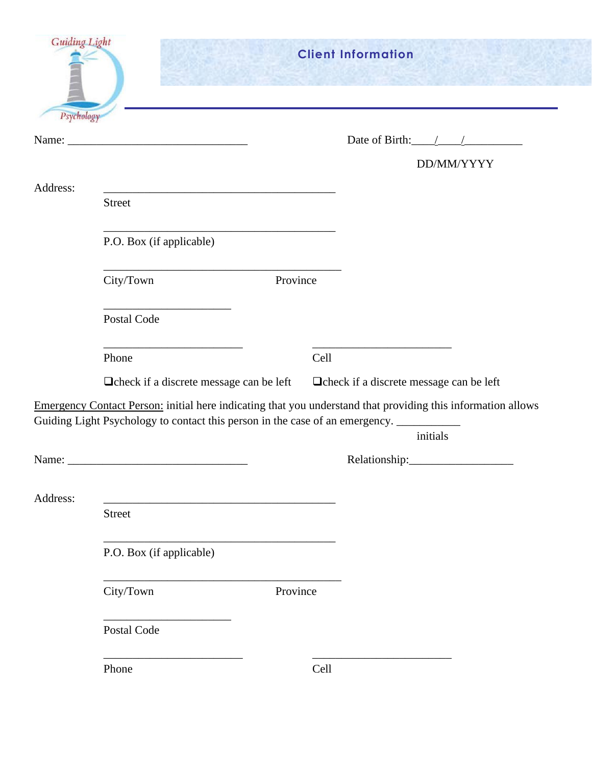| <b>Guiding Light</b><br>Psychology |                                                                                         |          | <b>Client Information</b>                                                                                                |
|------------------------------------|-----------------------------------------------------------------------------------------|----------|--------------------------------------------------------------------------------------------------------------------------|
|                                    |                                                                                         |          | Date of Birth: $\angle$ /                                                                                                |
|                                    |                                                                                         |          | DD/MM/YYYY                                                                                                               |
| Address:                           | <b>Street</b>                                                                           |          |                                                                                                                          |
|                                    | P.O. Box (if applicable)                                                                |          |                                                                                                                          |
|                                    | City/Town                                                                               | Province |                                                                                                                          |
|                                    | Postal Code                                                                             |          |                                                                                                                          |
|                                    | Phone                                                                                   | Cell     |                                                                                                                          |
|                                    | Deheck if a discrete message can be left                                                |          | □ check if a discrete message can be left                                                                                |
|                                    | Guiding Light Psychology to contact this person in the case of an emergency. __________ |          | Emergency Contact Person: initial here indicating that you understand that providing this information allows<br>initials |
| Name:                              |                                                                                         |          | Relationship:                                                                                                            |
| Address:                           | <b>Street</b>                                                                           |          |                                                                                                                          |
|                                    | P.O. Box (if applicable)                                                                |          |                                                                                                                          |
|                                    | City/Town                                                                               | Province |                                                                                                                          |
|                                    | Postal Code                                                                             |          |                                                                                                                          |
|                                    | Phone                                                                                   | Cell     |                                                                                                                          |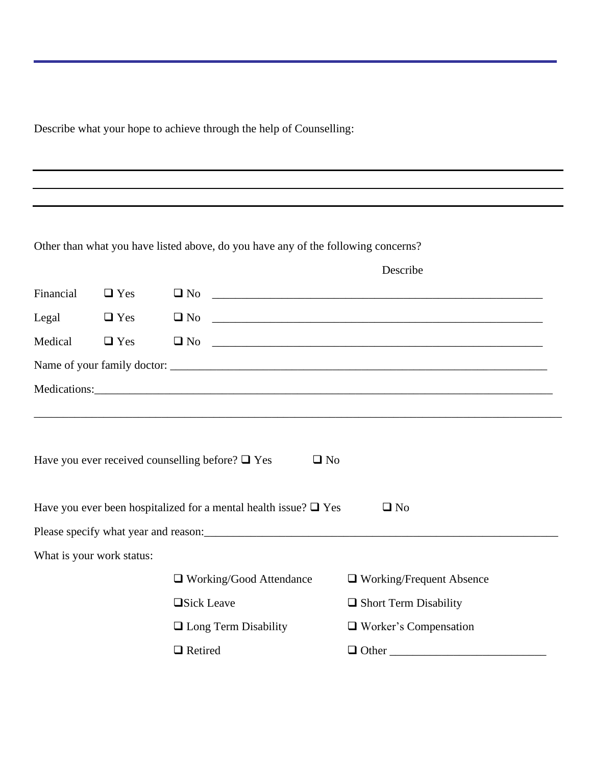Describe what your hope to achieve through the help of Counselling:

Other than what you have listed above, do you have any of the following concerns?

|           |                           |                                                                          | Describe                     |  |
|-----------|---------------------------|--------------------------------------------------------------------------|------------------------------|--|
| Financial | $\Box$ Yes                | $\square$ No                                                             |                              |  |
| Legal     | $\Box$ Yes                | $\square$ No                                                             |                              |  |
| Medical   | $\Box$ Yes                | $\Box$ No                                                                |                              |  |
|           |                           |                                                                          |                              |  |
|           |                           |                                                                          |                              |  |
|           |                           |                                                                          |                              |  |
|           |                           |                                                                          |                              |  |
|           |                           | Have you ever received counselling before? $\square$ Yes<br>$\square$ No |                              |  |
|           |                           |                                                                          |                              |  |
|           |                           | Have you ever been hospitalized for a mental health issue? $\Box$ Yes    | $\Box$ No                    |  |
|           |                           |                                                                          |                              |  |
|           | What is your work status: |                                                                          |                              |  |
|           |                           | $\Box$ Working/Good Attendance                                           | □ Working/Frequent Absence   |  |
|           |                           | □Sick Leave                                                              | $\Box$ Short Term Disability |  |
|           |                           | $\Box$ Long Term Disability                                              | $\Box$ Worker's Compensation |  |
|           |                           | $\Box$ Retired                                                           | $\Box$ Other                 |  |